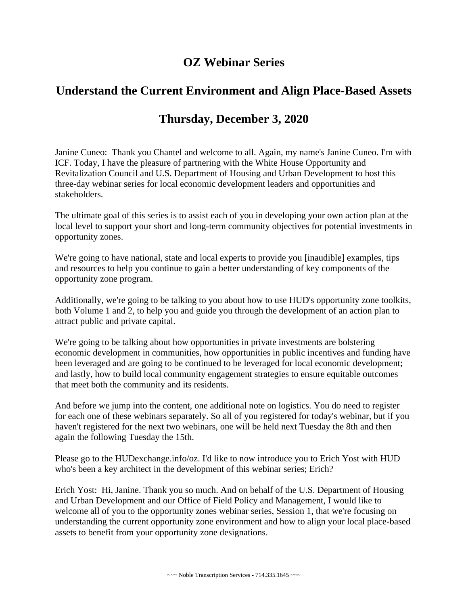## **OZ Webinar Series**

## **Understand the Current Environment and Align Place-Based Assets**

## **Thursday, December 3, 2020**

Janine Cuneo: Thank you Chantel and welcome to all. Again, my name's Janine Cuneo. I'm with ICF. Today, I have the pleasure of partnering with the White House Opportunity and Revitalization Council and U.S. Department of Housing and Urban Development to host this three-day webinar series for local economic development leaders and opportunities and stakeholders.

The ultimate goal of this series is to assist each of you in developing your own action plan at the local level to support your short and long-term community objectives for potential investments in opportunity zones.

We're going to have national, state and local experts to provide you [inaudible] examples, tips and resources to help you continue to gain a better understanding of key components of the opportunity zone program.

Additionally, we're going to be talking to you about how to use HUD's opportunity zone toolkits, both Volume 1 and 2, to help you and guide you through the development of an action plan to attract public and private capital.

We're going to be talking about how opportunities in private investments are bolstering economic development in communities, how opportunities in public incentives and funding have been leveraged and are going to be continued to be leveraged for local economic development; and lastly, how to build local community engagement strategies to ensure equitable outcomes that meet both the community and its residents.

And before we jump into the content, one additional note on logistics. You do need to register for each one of these webinars separately. So all of you registered for today's webinar, but if you haven't registered for the next two webinars, one will be held next Tuesday the 8th and then again the following Tuesday the 15th.

Please go to the HUDexchange.info/oz. I'd like to now introduce you to Erich Yost with HUD who's been a key architect in the development of this webinar series; Erich?

Erich Yost: Hi, Janine. Thank you so much. And on behalf of the U.S. Department of Housing and Urban Development and our Office of Field Policy and Management, I would like to welcome all of you to the opportunity zones webinar series, Session 1, that we're focusing on understanding the current opportunity zone environment and how to align your local place-based assets to benefit from your opportunity zone designations.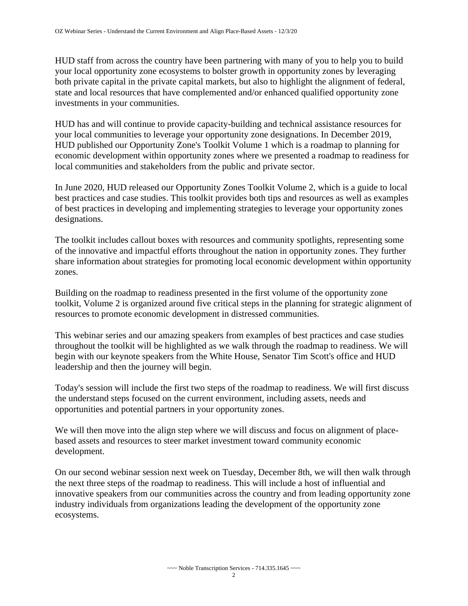HUD staff from across the country have been partnering with many of you to help you to build your local opportunity zone ecosystems to bolster growth in opportunity zones by leveraging both private capital in the private capital markets, but also to highlight the alignment of federal, state and local resources that have complemented and/or enhanced qualified opportunity zone investments in your communities.

HUD has and will continue to provide capacity-building and technical assistance resources for your local communities to leverage your opportunity zone designations. In December 2019, HUD published our Opportunity Zone's Toolkit Volume 1 which is a roadmap to planning for economic development within opportunity zones where we presented a roadmap to readiness for local communities and stakeholders from the public and private sector.

In June 2020, HUD released our Opportunity Zones Toolkit Volume 2, which is a guide to local best practices and case studies. This toolkit provides both tips and resources as well as examples of best practices in developing and implementing strategies to leverage your opportunity zones designations.

The toolkit includes callout boxes with resources and community spotlights, representing some of the innovative and impactful efforts throughout the nation in opportunity zones. They further share information about strategies for promoting local economic development within opportunity zones.

Building on the roadmap to readiness presented in the first volume of the opportunity zone toolkit, Volume 2 is organized around five critical steps in the planning for strategic alignment of resources to promote economic development in distressed communities.

This webinar series and our amazing speakers from examples of best practices and case studies throughout the toolkit will be highlighted as we walk through the roadmap to readiness. We will begin with our keynote speakers from the White House, Senator Tim Scott's office and HUD leadership and then the journey will begin.

Today's session will include the first two steps of the roadmap to readiness. We will first discuss the understand steps focused on the current environment, including assets, needs and opportunities and potential partners in your opportunity zones.

We will then move into the align step where we will discuss and focus on alignment of placebased assets and resources to steer market investment toward community economic development.

On our second webinar session next week on Tuesday, December 8th, we will then walk through the next three steps of the roadmap to readiness. This will include a host of influential and innovative speakers from our communities across the country and from leading opportunity zone industry individuals from organizations leading the development of the opportunity zone ecosystems.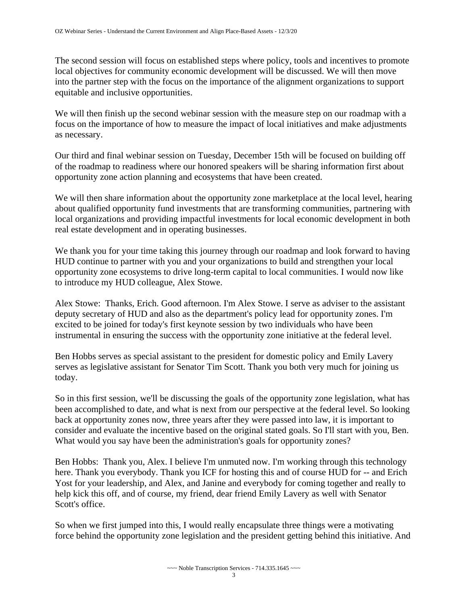The second session will focus on established steps where policy, tools and incentives to promote local objectives for community economic development will be discussed. We will then move into the partner step with the focus on the importance of the alignment organizations to support equitable and inclusive opportunities.

We will then finish up the second webinar session with the measure step on our roadmap with a focus on the importance of how to measure the impact of local initiatives and make adjustments as necessary.

Our third and final webinar session on Tuesday, December 15th will be focused on building off of the roadmap to readiness where our honored speakers will be sharing information first about opportunity zone action planning and ecosystems that have been created.

We will then share information about the opportunity zone marketplace at the local level, hearing about qualified opportunity fund investments that are transforming communities, partnering with local organizations and providing impactful investments for local economic development in both real estate development and in operating businesses.

We thank you for your time taking this journey through our roadmap and look forward to having HUD continue to partner with you and your organizations to build and strengthen your local opportunity zone ecosystems to drive long-term capital to local communities. I would now like to introduce my HUD colleague, Alex Stowe.

Alex Stowe: Thanks, Erich. Good afternoon. I'm Alex Stowe. I serve as adviser to the assistant deputy secretary of HUD and also as the department's policy lead for opportunity zones. I'm excited to be joined for today's first keynote session by two individuals who have been instrumental in ensuring the success with the opportunity zone initiative at the federal level.

Ben Hobbs serves as special assistant to the president for domestic policy and Emily Lavery serves as legislative assistant for Senator Tim Scott. Thank you both very much for joining us today.

So in this first session, we'll be discussing the goals of the opportunity zone legislation, what has been accomplished to date, and what is next from our perspective at the federal level. So looking back at opportunity zones now, three years after they were passed into law, it is important to consider and evaluate the incentive based on the original stated goals. So I'll start with you, Ben. What would you say have been the administration's goals for opportunity zones?

Ben Hobbs: Thank you, Alex. I believe I'm unmuted now. I'm working through this technology here. Thank you everybody. Thank you ICF for hosting this and of course HUD for -- and Erich Yost for your leadership, and Alex, and Janine and everybody for coming together and really to help kick this off, and of course, my friend, dear friend Emily Lavery as well with Senator Scott's office.

So when we first jumped into this, I would really encapsulate three things were a motivating force behind the opportunity zone legislation and the president getting behind this initiative. And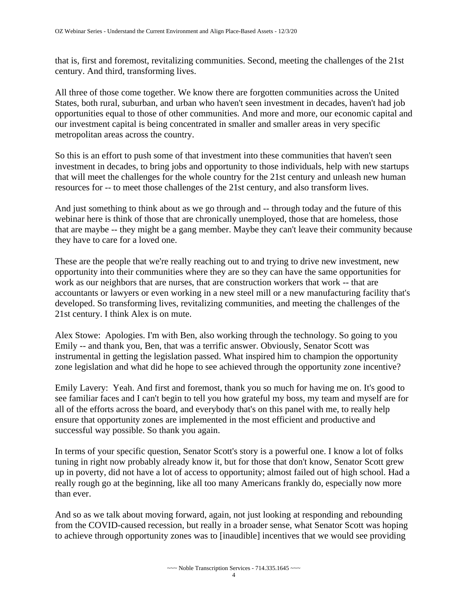that is, first and foremost, revitalizing communities. Second, meeting the challenges of the 21st century. And third, transforming lives.

All three of those come together. We know there are forgotten communities across the United States, both rural, suburban, and urban who haven't seen investment in decades, haven't had job opportunities equal to those of other communities. And more and more, our economic capital and our investment capital is being concentrated in smaller and smaller areas in very specific metropolitan areas across the country.

So this is an effort to push some of that investment into these communities that haven't seen investment in decades, to bring jobs and opportunity to those individuals, help with new startups that will meet the challenges for the whole country for the 21st century and unleash new human resources for -- to meet those challenges of the 21st century, and also transform lives.

And just something to think about as we go through and -- through today and the future of this webinar here is think of those that are chronically unemployed, those that are homeless, those that are maybe -- they might be a gang member. Maybe they can't leave their community because they have to care for a loved one.

These are the people that we're really reaching out to and trying to drive new investment, new opportunity into their communities where they are so they can have the same opportunities for work as our neighbors that are nurses, that are construction workers that work -- that are accountants or lawyers or even working in a new steel mill or a new manufacturing facility that's developed. So transforming lives, revitalizing communities, and meeting the challenges of the 21st century. I think Alex is on mute.

Alex Stowe: Apologies. I'm with Ben, also working through the technology. So going to you Emily -- and thank you, Ben, that was a terrific answer. Obviously, Senator Scott was instrumental in getting the legislation passed. What inspired him to champion the opportunity zone legislation and what did he hope to see achieved through the opportunity zone incentive?

Emily Lavery: Yeah. And first and foremost, thank you so much for having me on. It's good to see familiar faces and I can't begin to tell you how grateful my boss, my team and myself are for all of the efforts across the board, and everybody that's on this panel with me, to really help ensure that opportunity zones are implemented in the most efficient and productive and successful way possible. So thank you again.

In terms of your specific question, Senator Scott's story is a powerful one. I know a lot of folks tuning in right now probably already know it, but for those that don't know, Senator Scott grew up in poverty, did not have a lot of access to opportunity; almost failed out of high school. Had a really rough go at the beginning, like all too many Americans frankly do, especially now more than ever.

And so as we talk about moving forward, again, not just looking at responding and rebounding from the COVID-caused recession, but really in a broader sense, what Senator Scott was hoping to achieve through opportunity zones was to [inaudible] incentives that we would see providing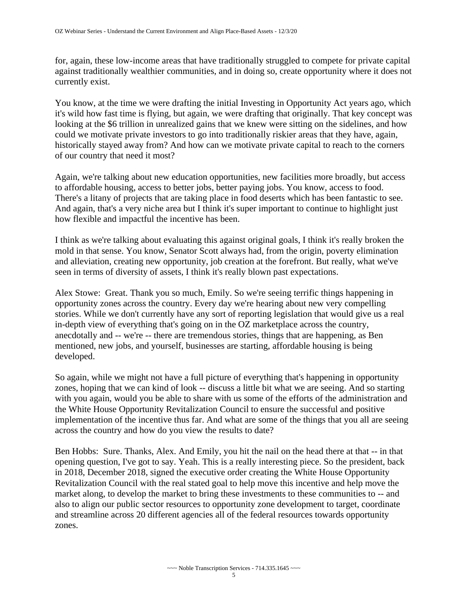for, again, these low-income areas that have traditionally struggled to compete for private capital against traditionally wealthier communities, and in doing so, create opportunity where it does not currently exist.

You know, at the time we were drafting the initial Investing in Opportunity Act years ago, which it's wild how fast time is flying, but again, we were drafting that originally. That key concept was looking at the \$6 trillion in unrealized gains that we knew were sitting on the sidelines, and how could we motivate private investors to go into traditionally riskier areas that they have, again, historically stayed away from? And how can we motivate private capital to reach to the corners of our country that need it most?

Again, we're talking about new education opportunities, new facilities more broadly, but access to affordable housing, access to better jobs, better paying jobs. You know, access to food. There's a litany of projects that are taking place in food deserts which has been fantastic to see. And again, that's a very niche area but I think it's super important to continue to highlight just how flexible and impactful the incentive has been.

I think as we're talking about evaluating this against original goals, I think it's really broken the mold in that sense. You know, Senator Scott always had, from the origin, poverty elimination and alleviation, creating new opportunity, job creation at the forefront. But really, what we've seen in terms of diversity of assets, I think it's really blown past expectations.

Alex Stowe: Great. Thank you so much, Emily. So we're seeing terrific things happening in opportunity zones across the country. Every day we're hearing about new very compelling stories. While we don't currently have any sort of reporting legislation that would give us a real in-depth view of everything that's going on in the OZ marketplace across the country, anecdotally and -- we're -- there are tremendous stories, things that are happening, as Ben mentioned, new jobs, and yourself, businesses are starting, affordable housing is being developed.

So again, while we might not have a full picture of everything that's happening in opportunity zones, hoping that we can kind of look -- discuss a little bit what we are seeing. And so starting with you again, would you be able to share with us some of the efforts of the administration and the White House Opportunity Revitalization Council to ensure the successful and positive implementation of the incentive thus far. And what are some of the things that you all are seeing across the country and how do you view the results to date?

Ben Hobbs: Sure. Thanks, Alex. And Emily, you hit the nail on the head there at that -- in that opening question, I've got to say. Yeah. This is a really interesting piece. So the president, back in 2018, December 2018, signed the executive order creating the White House Opportunity Revitalization Council with the real stated goal to help move this incentive and help move the market along, to develop the market to bring these investments to these communities to -- and also to align our public sector resources to opportunity zone development to target, coordinate and streamline across 20 different agencies all of the federal resources towards opportunity zones.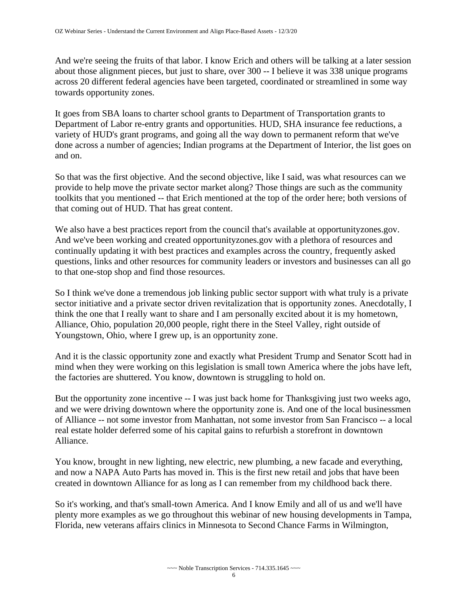And we're seeing the fruits of that labor. I know Erich and others will be talking at a later session about those alignment pieces, but just to share, over 300 -- I believe it was 338 unique programs across 20 different federal agencies have been targeted, coordinated or streamlined in some way towards opportunity zones.

It goes from SBA loans to charter school grants to Department of Transportation grants to Department of Labor re-entry grants and opportunities. HUD, SHA insurance fee reductions, a variety of HUD's grant programs, and going all the way down to permanent reform that we've done across a number of agencies; Indian programs at the Department of Interior, the list goes on and on.

So that was the first objective. And the second objective, like I said, was what resources can we provide to help move the private sector market along? Those things are such as the community toolkits that you mentioned -- that Erich mentioned at the top of the order here; both versions of that coming out of HUD. That has great content.

We also have a best practices report from the council that's available at opportunityzones.gov. And we've been working and created opportunityzones.gov with a plethora of resources and continually updating it with best practices and examples across the country, frequently asked questions, links and other resources for community leaders or investors and businesses can all go to that one-stop shop and find those resources.

So I think we've done a tremendous job linking public sector support with what truly is a private sector initiative and a private sector driven revitalization that is opportunity zones. Anecdotally, I think the one that I really want to share and I am personally excited about it is my hometown, Alliance, Ohio, population 20,000 people, right there in the Steel Valley, right outside of Youngstown, Ohio, where I grew up, is an opportunity zone.

And it is the classic opportunity zone and exactly what President Trump and Senator Scott had in mind when they were working on this legislation is small town America where the jobs have left, the factories are shuttered. You know, downtown is struggling to hold on.

But the opportunity zone incentive -- I was just back home for Thanksgiving just two weeks ago, and we were driving downtown where the opportunity zone is. And one of the local businessmen of Alliance -- not some investor from Manhattan, not some investor from San Francisco -- a local real estate holder deferred some of his capital gains to refurbish a storefront in downtown Alliance.

You know, brought in new lighting, new electric, new plumbing, a new facade and everything, and now a NAPA Auto Parts has moved in. This is the first new retail and jobs that have been created in downtown Alliance for as long as I can remember from my childhood back there.

So it's working, and that's small-town America. And I know Emily and all of us and we'll have plenty more examples as we go throughout this webinar of new housing developments in Tampa, Florida, new veterans affairs clinics in Minnesota to Second Chance Farms in Wilmington,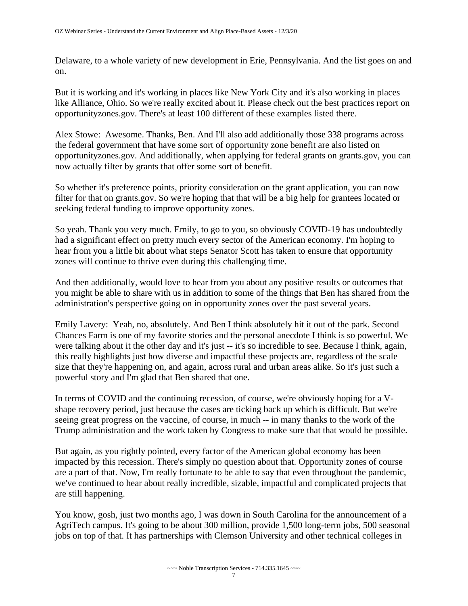Delaware, to a whole variety of new development in Erie, Pennsylvania. And the list goes on and on.

But it is working and it's working in places like New York City and it's also working in places like Alliance, Ohio. So we're really excited about it. Please check out the best practices report on opportunityzones.gov. There's at least 100 different of these examples listed there.

Alex Stowe: Awesome. Thanks, Ben. And I'll also add additionally those 338 programs across the federal government that have some sort of opportunity zone benefit are also listed on opportunityzones.gov. And additionally, when applying for federal grants on grants.gov, you can now actually filter by grants that offer some sort of benefit.

So whether it's preference points, priority consideration on the grant application, you can now filter for that on grants.gov. So we're hoping that that will be a big help for grantees located or seeking federal funding to improve opportunity zones.

So yeah. Thank you very much. Emily, to go to you, so obviously COVID-19 has undoubtedly had a significant effect on pretty much every sector of the American economy. I'm hoping to hear from you a little bit about what steps Senator Scott has taken to ensure that opportunity zones will continue to thrive even during this challenging time.

And then additionally, would love to hear from you about any positive results or outcomes that you might be able to share with us in addition to some of the things that Ben has shared from the administration's perspective going on in opportunity zones over the past several years.

Emily Lavery: Yeah, no, absolutely. And Ben I think absolutely hit it out of the park. Second Chances Farm is one of my favorite stories and the personal anecdote I think is so powerful. We were talking about it the other day and it's just -- it's so incredible to see. Because I think, again, this really highlights just how diverse and impactful these projects are, regardless of the scale size that they're happening on, and again, across rural and urban areas alike. So it's just such a powerful story and I'm glad that Ben shared that one.

In terms of COVID and the continuing recession, of course, we're obviously hoping for a Vshape recovery period, just because the cases are ticking back up which is difficult. But we're seeing great progress on the vaccine, of course, in much -- in many thanks to the work of the Trump administration and the work taken by Congress to make sure that that would be possible.

But again, as you rightly pointed, every factor of the American global economy has been impacted by this recession. There's simply no question about that. Opportunity zones of course are a part of that. Now, I'm really fortunate to be able to say that even throughout the pandemic, we've continued to hear about really incredible, sizable, impactful and complicated projects that are still happening.

You know, gosh, just two months ago, I was down in South Carolina for the announcement of a AgriTech campus. It's going to be about 300 million, provide 1,500 long-term jobs, 500 seasonal jobs on top of that. It has partnerships with Clemson University and other technical colleges in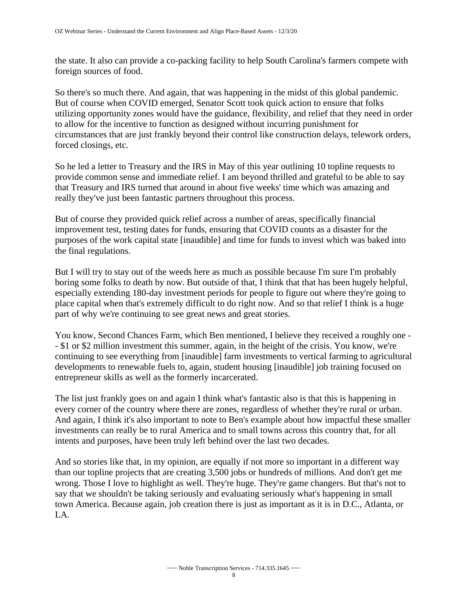the state. It also can provide a co-packing facility to help South Carolina's farmers compete with foreign sources of food.

So there's so much there. And again, that was happening in the midst of this global pandemic. But of course when COVID emerged, Senator Scott took quick action to ensure that folks utilizing opportunity zones would have the guidance, flexibility, and relief that they need in order to allow for the incentive to function as designed without incurring punishment for circumstances that are just frankly beyond their control like construction delays, telework orders, forced closings, etc.

So he led a letter to Treasury and the IRS in May of this year outlining 10 topline requests to provide common sense and immediate relief. I am beyond thrilled and grateful to be able to say that Treasury and IRS turned that around in about five weeks' time which was amazing and really they've just been fantastic partners throughout this process.

But of course they provided quick relief across a number of areas, specifically financial improvement test, testing dates for funds, ensuring that COVID counts as a disaster for the purposes of the work capital state [inaudible] and time for funds to invest which was baked into the final regulations.

But I will try to stay out of the weeds here as much as possible because I'm sure I'm probably boring some folks to death by now. But outside of that, I think that that has been hugely helpful, especially extending 180-day investment periods for people to figure out where they're going to place capital when that's extremely difficult to do right now. And so that relief I think is a huge part of why we're continuing to see great news and great stories.

You know, Second Chances Farm, which Ben mentioned, I believe they received a roughly one - - \$1 or \$2 million investment this summer, again, in the height of the crisis. You know, we're continuing to see everything from [inaudible] farm investments to vertical farming to agricultural developments to renewable fuels to, again, student housing [inaudible] job training focused on entrepreneur skills as well as the formerly incarcerated.

The list just frankly goes on and again I think what's fantastic also is that this is happening in every corner of the country where there are zones, regardless of whether they're rural or urban. And again, I think it's also important to note to Ben's example about how impactful these smaller investments can really be to rural America and to small towns across this country that, for all intents and purposes, have been truly left behind over the last two decades.

And so stories like that, in my opinion, are equally if not more so important in a different way than our topline projects that are creating 3,500 jobs or hundreds of millions. And don't get me wrong. Those I love to highlight as well. They're huge. They're game changers. But that's not to say that we shouldn't be taking seriously and evaluating seriously what's happening in small town America. Because again, job creation there is just as important as it is in D.C., Atlanta, or LA.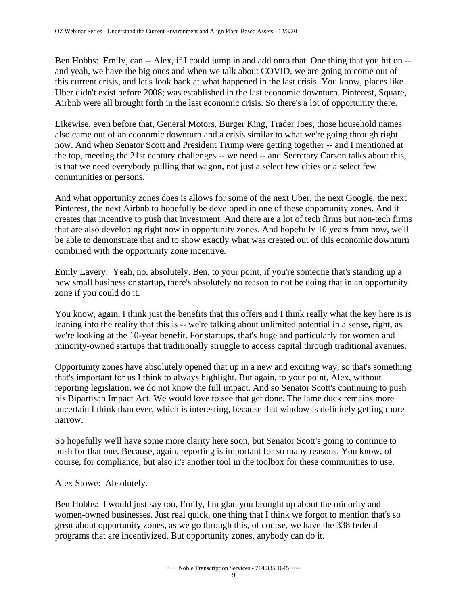Ben Hobbs: Emily, can -- Alex, if I could jump in and add onto that. One thing that you hit on -and yeah, we have the big ones and when we talk about COVID, we are going to come out of this current crisis, and let's look back at what happened in the last crisis. You know, places like Uber didn't exist before 2008; was established in the last economic downturn. Pinterest, Square, Airbnb were all brought forth in the last economic crisis. So there's a lot of opportunity there.

Likewise, even before that, General Motors, Burger King, Trader Joes, those household names also came out of an economic downturn and a crisis similar to what we're going through right now. And when Senator Scott and President Trump were getting together -- and I mentioned at the top, meeting the 21st century challenges -- we need -- and Secretary Carson talks about this, is that we need everybody pulling that wagon, not just a select few cities or a select few communities or persons.

And what opportunity zones does is allows for some of the next Uber, the next Google, the next Pinterest, the next Airbnb to hopefully be developed in one of these opportunity zones. And it creates that incentive to push that investment. And there are a lot of tech firms but non-tech firms that are also developing right now in opportunity zones. And hopefully 10 years from now, we'll be able to demonstrate that and to show exactly what was created out of this economic downturn combined with the opportunity zone incentive.

Emily Lavery: Yeah, no, absolutely. Ben, to your point, if you're someone that's standing up a new small business or startup, there's absolutely no reason to not be doing that in an opportunity zone if you could do it.

You know, again, I think just the benefits that this offers and I think really what the key here is is leaning into the reality that this is -- we're talking about unlimited potential in a sense, right, as we're looking at the 10-year benefit. For startups, that's huge and particularly for women and minority-owned startups that traditionally struggle to access capital through traditional avenues.

Opportunity zones have absolutely opened that up in a new and exciting way, so that's something that's important for us I think to always highlight. But again, to your point, Alex, without reporting legislation, we do not know the full impact. And so Senator Scott's continuing to push his Bipartisan Impact Act. We would love to see that get done. The lame duck remains more uncertain I think than ever, which is interesting, because that window is definitely getting more narrow.

So hopefully we'll have some more clarity here soon, but Senator Scott's going to continue to push for that one. Because, again, reporting is important for so many reasons. You know, of course, for compliance, but also it's another tool in the toolbox for these communities to use.

Alex Stowe: Absolutely.

Ben Hobbs: I would just say too, Emily, I'm glad you brought up about the minority and women-owned businesses. Just real quick, one thing that I think we forgot to mention that's so great about opportunity zones, as we go through this, of course, we have the 338 federal programs that are incentivized. But opportunity zones, anybody can do it.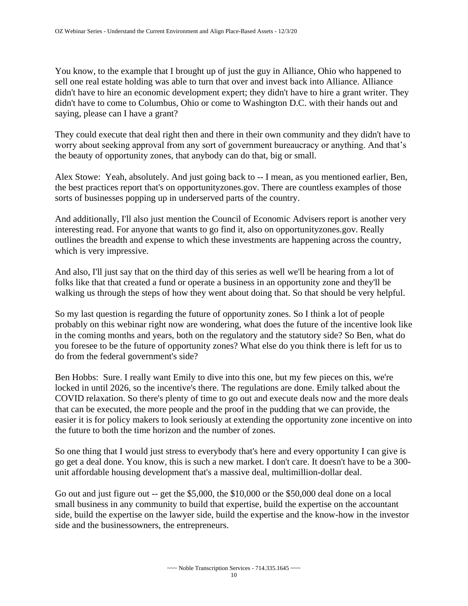You know, to the example that I brought up of just the guy in Alliance, Ohio who happened to sell one real estate holding was able to turn that over and invest back into Alliance. Alliance didn't have to hire an economic development expert; they didn't have to hire a grant writer. They didn't have to come to Columbus, Ohio or come to Washington D.C. with their hands out and saying, please can I have a grant?

They could execute that deal right then and there in their own community and they didn't have to worry about seeking approval from any sort of government bureaucracy or anything. And that's the beauty of opportunity zones, that anybody can do that, big or small.

Alex Stowe: Yeah, absolutely. And just going back to -- I mean, as you mentioned earlier, Ben, the best practices report that's on opportunityzones.gov. There are countless examples of those sorts of businesses popping up in underserved parts of the country.

And additionally, I'll also just mention the Council of Economic Advisers report is another very interesting read. For anyone that wants to go find it, also on opportunityzones.gov. Really outlines the breadth and expense to which these investments are happening across the country, which is very impressive.

And also, I'll just say that on the third day of this series as well we'll be hearing from a lot of folks like that that created a fund or operate a business in an opportunity zone and they'll be walking us through the steps of how they went about doing that. So that should be very helpful.

So my last question is regarding the future of opportunity zones. So I think a lot of people probably on this webinar right now are wondering, what does the future of the incentive look like in the coming months and years, both on the regulatory and the statutory side? So Ben, what do you foresee to be the future of opportunity zones? What else do you think there is left for us to do from the federal government's side?

Ben Hobbs: Sure. I really want Emily to dive into this one, but my few pieces on this, we're locked in until 2026, so the incentive's there. The regulations are done. Emily talked about the COVID relaxation. So there's plenty of time to go out and execute deals now and the more deals that can be executed, the more people and the proof in the pudding that we can provide, the easier it is for policy makers to look seriously at extending the opportunity zone incentive on into the future to both the time horizon and the number of zones.

So one thing that I would just stress to everybody that's here and every opportunity I can give is go get a deal done. You know, this is such a new market. I don't care. It doesn't have to be a 300 unit affordable housing development that's a massive deal, multimillion-dollar deal.

Go out and just figure out -- get the \$5,000, the \$10,000 or the \$50,000 deal done on a local small business in any community to build that expertise, build the expertise on the accountant side, build the expertise on the lawyer side, build the expertise and the know-how in the investor side and the businessowners, the entrepreneurs.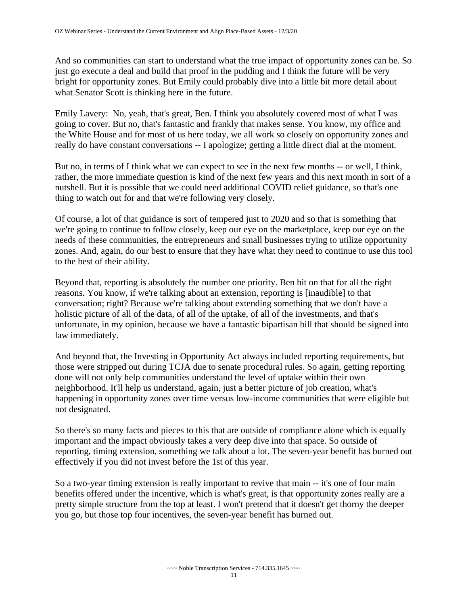And so communities can start to understand what the true impact of opportunity zones can be. So just go execute a deal and build that proof in the pudding and I think the future will be very bright for opportunity zones. But Emily could probably dive into a little bit more detail about what Senator Scott is thinking here in the future.

Emily Lavery: No, yeah, that's great, Ben. I think you absolutely covered most of what I was going to cover. But no, that's fantastic and frankly that makes sense. You know, my office and the White House and for most of us here today, we all work so closely on opportunity zones and really do have constant conversations -- I apologize; getting a little direct dial at the moment.

But no, in terms of I think what we can expect to see in the next few months -- or well, I think, rather, the more immediate question is kind of the next few years and this next month in sort of a nutshell. But it is possible that we could need additional COVID relief guidance, so that's one thing to watch out for and that we're following very closely.

Of course, a lot of that guidance is sort of tempered just to 2020 and so that is something that we're going to continue to follow closely, keep our eye on the marketplace, keep our eye on the needs of these communities, the entrepreneurs and small businesses trying to utilize opportunity zones. And, again, do our best to ensure that they have what they need to continue to use this tool to the best of their ability.

Beyond that, reporting is absolutely the number one priority. Ben hit on that for all the right reasons. You know, if we're talking about an extension, reporting is [inaudible] to that conversation; right? Because we're talking about extending something that we don't have a holistic picture of all of the data, of all of the uptake, of all of the investments, and that's unfortunate, in my opinion, because we have a fantastic bipartisan bill that should be signed into law immediately.

And beyond that, the Investing in Opportunity Act always included reporting requirements, but those were stripped out during TCJA due to senate procedural rules. So again, getting reporting done will not only help communities understand the level of uptake within their own neighborhood. It'll help us understand, again, just a better picture of job creation, what's happening in opportunity zones over time versus low-income communities that were eligible but not designated.

So there's so many facts and pieces to this that are outside of compliance alone which is equally important and the impact obviously takes a very deep dive into that space. So outside of reporting, timing extension, something we talk about a lot. The seven-year benefit has burned out effectively if you did not invest before the 1st of this year.

So a two-year timing extension is really important to revive that main -- it's one of four main benefits offered under the incentive, which is what's great, is that opportunity zones really are a pretty simple structure from the top at least. I won't pretend that it doesn't get thorny the deeper you go, but those top four incentives, the seven-year benefit has burned out.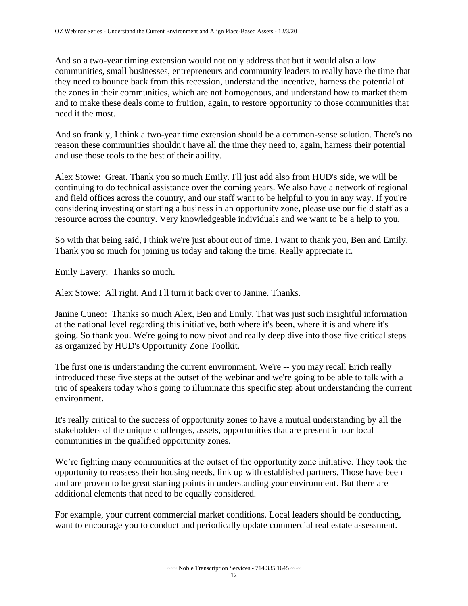And so a two-year timing extension would not only address that but it would also allow communities, small businesses, entrepreneurs and community leaders to really have the time that they need to bounce back from this recession, understand the incentive, harness the potential of the zones in their communities, which are not homogenous, and understand how to market them and to make these deals come to fruition, again, to restore opportunity to those communities that need it the most.

And so frankly, I think a two-year time extension should be a common-sense solution. There's no reason these communities shouldn't have all the time they need to, again, harness their potential and use those tools to the best of their ability.

Alex Stowe: Great. Thank you so much Emily. I'll just add also from HUD's side, we will be continuing to do technical assistance over the coming years. We also have a network of regional and field offices across the country, and our staff want to be helpful to you in any way. If you're considering investing or starting a business in an opportunity zone, please use our field staff as a resource across the country. Very knowledgeable individuals and we want to be a help to you.

So with that being said, I think we're just about out of time. I want to thank you, Ben and Emily. Thank you so much for joining us today and taking the time. Really appreciate it.

Emily Lavery: Thanks so much.

Alex Stowe: All right. And I'll turn it back over to Janine. Thanks.

Janine Cuneo: Thanks so much Alex, Ben and Emily. That was just such insightful information at the national level regarding this initiative, both where it's been, where it is and where it's going. So thank you. We're going to now pivot and really deep dive into those five critical steps as organized by HUD's Opportunity Zone Toolkit.

The first one is understanding the current environment. We're -- you may recall Erich really introduced these five steps at the outset of the webinar and we're going to be able to talk with a trio of speakers today who's going to illuminate this specific step about understanding the current environment.

It's really critical to the success of opportunity zones to have a mutual understanding by all the stakeholders of the unique challenges, assets, opportunities that are present in our local communities in the qualified opportunity zones.

We're fighting many communities at the outset of the opportunity zone initiative. They took the opportunity to reassess their housing needs, link up with established partners. Those have been and are proven to be great starting points in understanding your environment. But there are additional elements that need to be equally considered.

For example, your current commercial market conditions. Local leaders should be conducting, want to encourage you to conduct and periodically update commercial real estate assessment.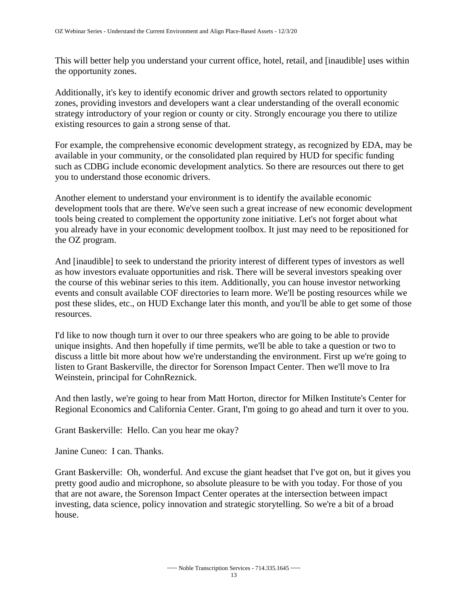This will better help you understand your current office, hotel, retail, and [inaudible] uses within the opportunity zones.

Additionally, it's key to identify economic driver and growth sectors related to opportunity zones, providing investors and developers want a clear understanding of the overall economic strategy introductory of your region or county or city. Strongly encourage you there to utilize existing resources to gain a strong sense of that.

For example, the comprehensive economic development strategy, as recognized by EDA, may be available in your community, or the consolidated plan required by HUD for specific funding such as CDBG include economic development analytics. So there are resources out there to get you to understand those economic drivers.

Another element to understand your environment is to identify the available economic development tools that are there. We've seen such a great increase of new economic development tools being created to complement the opportunity zone initiative. Let's not forget about what you already have in your economic development toolbox. It just may need to be repositioned for the OZ program.

And [inaudible] to seek to understand the priority interest of different types of investors as well as how investors evaluate opportunities and risk. There will be several investors speaking over the course of this webinar series to this item. Additionally, you can house investor networking events and consult available COF directories to learn more. We'll be posting resources while we post these slides, etc., on HUD Exchange later this month, and you'll be able to get some of those resources.

I'd like to now though turn it over to our three speakers who are going to be able to provide unique insights. And then hopefully if time permits, we'll be able to take a question or two to discuss a little bit more about how we're understanding the environment. First up we're going to listen to Grant Baskerville, the director for Sorenson Impact Center. Then we'll move to Ira Weinstein, principal for CohnReznick.

And then lastly, we're going to hear from Matt Horton, director for Milken Institute's Center for Regional Economics and California Center. Grant, I'm going to go ahead and turn it over to you.

Grant Baskerville: Hello. Can you hear me okay?

Janine Cuneo: I can. Thanks.

Grant Baskerville: Oh, wonderful. And excuse the giant headset that I've got on, but it gives you pretty good audio and microphone, so absolute pleasure to be with you today. For those of you that are not aware, the Sorenson Impact Center operates at the intersection between impact investing, data science, policy innovation and strategic storytelling. So we're a bit of a broad house.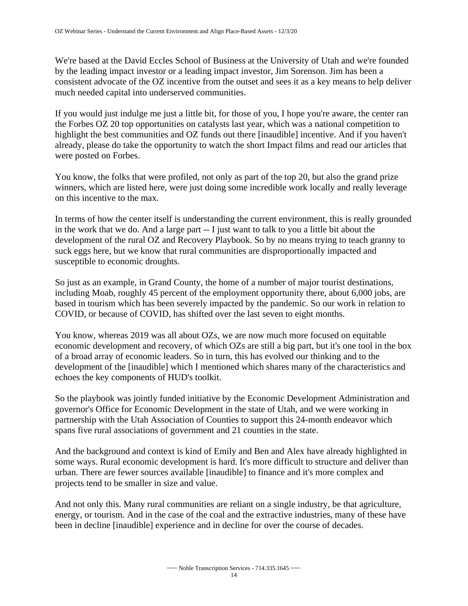We're based at the David Eccles School of Business at the University of Utah and we're founded by the leading impact investor or a leading impact investor, Jim Sorenson. Jim has been a consistent advocate of the OZ incentive from the outset and sees it as a key means to help deliver much needed capital into underserved communities.

If you would just indulge me just a little bit, for those of you, I hope you're aware, the center ran the Forbes OZ 20 top opportunities on catalysts last year, which was a national competition to highlight the best communities and OZ funds out there [inaudible] incentive. And if you haven't already, please do take the opportunity to watch the short Impact films and read our articles that were posted on Forbes.

You know, the folks that were profiled, not only as part of the top 20, but also the grand prize winners, which are listed here, were just doing some incredible work locally and really leverage on this incentive to the max.

In terms of how the center itself is understanding the current environment, this is really grounded in the work that we do. And a large part -- I just want to talk to you a little bit about the development of the rural OZ and Recovery Playbook. So by no means trying to teach granny to suck eggs here, but we know that rural communities are disproportionally impacted and susceptible to economic droughts.

So just as an example, in Grand County, the home of a number of major tourist destinations, including Moab, roughly 45 percent of the employment opportunity there, about 6,000 jobs, are based in tourism which has been severely impacted by the pandemic. So our work in relation to COVID, or because of COVID, has shifted over the last seven to eight months.

You know, whereas 2019 was all about OZs, we are now much more focused on equitable economic development and recovery, of which OZs are still a big part, but it's one tool in the box of a broad array of economic leaders. So in turn, this has evolved our thinking and to the development of the [inaudible] which I mentioned which shares many of the characteristics and echoes the key components of HUD's toolkit.

So the playbook was jointly funded initiative by the Economic Development Administration and governor's Office for Economic Development in the state of Utah, and we were working in partnership with the Utah Association of Counties to support this 24-month endeavor which spans five rural associations of government and 21 counties in the state.

And the background and context is kind of Emily and Ben and Alex have already highlighted in some ways. Rural economic development is hard. It's more difficult to structure and deliver than urban. There are fewer sources available [inaudible] to finance and it's more complex and projects tend to be smaller in size and value.

And not only this. Many rural communities are reliant on a single industry, be that agriculture, energy, or tourism. And in the case of the coal and the extractive industries, many of these have been in decline [inaudible] experience and in decline for over the course of decades.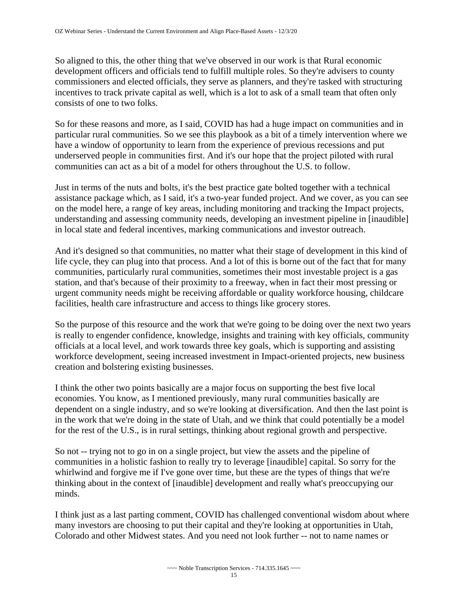So aligned to this, the other thing that we've observed in our work is that Rural economic development officers and officials tend to fulfill multiple roles. So they're advisers to county commissioners and elected officials, they serve as planners, and they're tasked with structuring incentives to track private capital as well, which is a lot to ask of a small team that often only consists of one to two folks.

So for these reasons and more, as I said, COVID has had a huge impact on communities and in particular rural communities. So we see this playbook as a bit of a timely intervention where we have a window of opportunity to learn from the experience of previous recessions and put underserved people in communities first. And it's our hope that the project piloted with rural communities can act as a bit of a model for others throughout the U.S. to follow.

Just in terms of the nuts and bolts, it's the best practice gate bolted together with a technical assistance package which, as I said, it's a two-year funded project. And we cover, as you can see on the model here, a range of key areas, including monitoring and tracking the Impact projects, understanding and assessing community needs, developing an investment pipeline in [inaudible] in local state and federal incentives, marking communications and investor outreach.

And it's designed so that communities, no matter what their stage of development in this kind of life cycle, they can plug into that process. And a lot of this is borne out of the fact that for many communities, particularly rural communities, sometimes their most investable project is a gas station, and that's because of their proximity to a freeway, when in fact their most pressing or urgent community needs might be receiving affordable or quality workforce housing, childcare facilities, health care infrastructure and access to things like grocery stores.

So the purpose of this resource and the work that we're going to be doing over the next two years is really to engender confidence, knowledge, insights and training with key officials, community officials at a local level, and work towards three key goals, which is supporting and assisting workforce development, seeing increased investment in Impact-oriented projects, new business creation and bolstering existing businesses.

I think the other two points basically are a major focus on supporting the best five local economies. You know, as I mentioned previously, many rural communities basically are dependent on a single industry, and so we're looking at diversification. And then the last point is in the work that we're doing in the state of Utah, and we think that could potentially be a model for the rest of the U.S., is in rural settings, thinking about regional growth and perspective.

So not -- trying not to go in on a single project, but view the assets and the pipeline of communities in a holistic fashion to really try to leverage [inaudible] capital. So sorry for the whirlwind and forgive me if I've gone over time, but these are the types of things that we're thinking about in the context of [inaudible] development and really what's preoccupying our minds.

I think just as a last parting comment, COVID has challenged conventional wisdom about where many investors are choosing to put their capital and they're looking at opportunities in Utah, Colorado and other Midwest states. And you need not look further -- not to name names or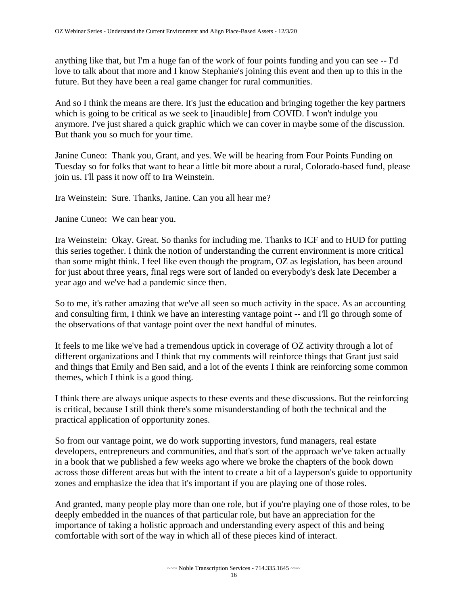anything like that, but I'm a huge fan of the work of four points funding and you can see -- I'd love to talk about that more and I know Stephanie's joining this event and then up to this in the future. But they have been a real game changer for rural communities.

And so I think the means are there. It's just the education and bringing together the key partners which is going to be critical as we seek to [inaudible] from COVID. I won't indulge you anymore. I've just shared a quick graphic which we can cover in maybe some of the discussion. But thank you so much for your time.

Janine Cuneo: Thank you, Grant, and yes. We will be hearing from Four Points Funding on Tuesday so for folks that want to hear a little bit more about a rural, Colorado-based fund, please join us. I'll pass it now off to Ira Weinstein.

Ira Weinstein: Sure. Thanks, Janine. Can you all hear me?

Janine Cuneo: We can hear you.

Ira Weinstein: Okay. Great. So thanks for including me. Thanks to ICF and to HUD for putting this series together. I think the notion of understanding the current environment is more critical than some might think. I feel like even though the program, OZ as legislation, has been around for just about three years, final regs were sort of landed on everybody's desk late December a year ago and we've had a pandemic since then.

So to me, it's rather amazing that we've all seen so much activity in the space. As an accounting and consulting firm, I think we have an interesting vantage point -- and I'll go through some of the observations of that vantage point over the next handful of minutes.

It feels to me like we've had a tremendous uptick in coverage of OZ activity through a lot of different organizations and I think that my comments will reinforce things that Grant just said and things that Emily and Ben said, and a lot of the events I think are reinforcing some common themes, which I think is a good thing.

I think there are always unique aspects to these events and these discussions. But the reinforcing is critical, because I still think there's some misunderstanding of both the technical and the practical application of opportunity zones.

So from our vantage point, we do work supporting investors, fund managers, real estate developers, entrepreneurs and communities, and that's sort of the approach we've taken actually in a book that we published a few weeks ago where we broke the chapters of the book down across those different areas but with the intent to create a bit of a layperson's guide to opportunity zones and emphasize the idea that it's important if you are playing one of those roles.

And granted, many people play more than one role, but if you're playing one of those roles, to be deeply embedded in the nuances of that particular role, but have an appreciation for the importance of taking a holistic approach and understanding every aspect of this and being comfortable with sort of the way in which all of these pieces kind of interact.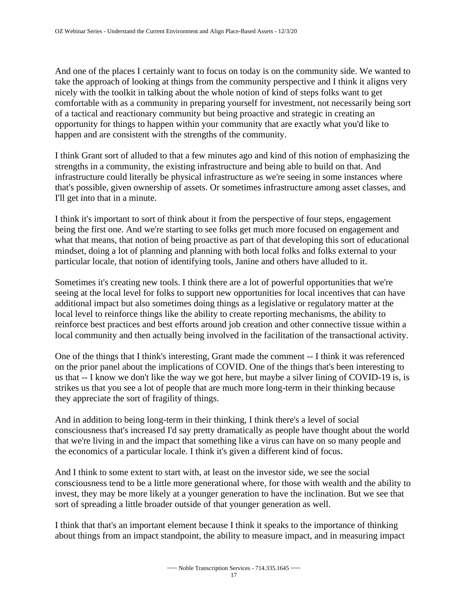And one of the places I certainly want to focus on today is on the community side. We wanted to take the approach of looking at things from the community perspective and I think it aligns very nicely with the toolkit in talking about the whole notion of kind of steps folks want to get comfortable with as a community in preparing yourself for investment, not necessarily being sort of a tactical and reactionary community but being proactive and strategic in creating an opportunity for things to happen within your community that are exactly what you'd like to happen and are consistent with the strengths of the community.

I think Grant sort of alluded to that a few minutes ago and kind of this notion of emphasizing the strengths in a community, the existing infrastructure and being able to build on that. And infrastructure could literally be physical infrastructure as we're seeing in some instances where that's possible, given ownership of assets. Or sometimes infrastructure among asset classes, and I'll get into that in a minute.

I think it's important to sort of think about it from the perspective of four steps, engagement being the first one. And we're starting to see folks get much more focused on engagement and what that means, that notion of being proactive as part of that developing this sort of educational mindset, doing a lot of planning and planning with both local folks and folks external to your particular locale, that notion of identifying tools, Janine and others have alluded to it.

Sometimes it's creating new tools. I think there are a lot of powerful opportunities that we're seeing at the local level for folks to support new opportunities for local incentives that can have additional impact but also sometimes doing things as a legislative or regulatory matter at the local level to reinforce things like the ability to create reporting mechanisms, the ability to reinforce best practices and best efforts around job creation and other connective tissue within a local community and then actually being involved in the facilitation of the transactional activity.

One of the things that I think's interesting, Grant made the comment -- I think it was referenced on the prior panel about the implications of COVID. One of the things that's been interesting to us that -- I know we don't like the way we got here, but maybe a silver lining of COVID-19 is, is strikes us that you see a lot of people that are much more long-term in their thinking because they appreciate the sort of fragility of things.

And in addition to being long-term in their thinking, I think there's a level of social consciousness that's increased I'd say pretty dramatically as people have thought about the world that we're living in and the impact that something like a virus can have on so many people and the economics of a particular locale. I think it's given a different kind of focus.

And I think to some extent to start with, at least on the investor side, we see the social consciousness tend to be a little more generational where, for those with wealth and the ability to invest, they may be more likely at a younger generation to have the inclination. But we see that sort of spreading a little broader outside of that younger generation as well.

I think that that's an important element because I think it speaks to the importance of thinking about things from an impact standpoint, the ability to measure impact, and in measuring impact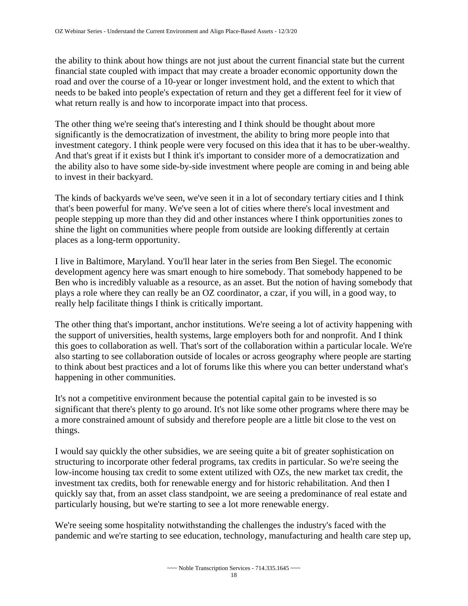the ability to think about how things are not just about the current financial state but the current financial state coupled with impact that may create a broader economic opportunity down the road and over the course of a 10-year or longer investment hold, and the extent to which that needs to be baked into people's expectation of return and they get a different feel for it view of what return really is and how to incorporate impact into that process.

The other thing we're seeing that's interesting and I think should be thought about more significantly is the democratization of investment, the ability to bring more people into that investment category. I think people were very focused on this idea that it has to be uber-wealthy. And that's great if it exists but I think it's important to consider more of a democratization and the ability also to have some side-by-side investment where people are coming in and being able to invest in their backyard.

The kinds of backyards we've seen, we've seen it in a lot of secondary tertiary cities and I think that's been powerful for many. We've seen a lot of cities where there's local investment and people stepping up more than they did and other instances where I think opportunities zones to shine the light on communities where people from outside are looking differently at certain places as a long-term opportunity.

I live in Baltimore, Maryland. You'll hear later in the series from Ben Siegel. The economic development agency here was smart enough to hire somebody. That somebody happened to be Ben who is incredibly valuable as a resource, as an asset. But the notion of having somebody that plays a role where they can really be an OZ coordinator, a czar, if you will, in a good way, to really help facilitate things I think is critically important.

The other thing that's important, anchor institutions. We're seeing a lot of activity happening with the support of universities, health systems, large employers both for and nonprofit. And I think this goes to collaboration as well. That's sort of the collaboration within a particular locale. We're also starting to see collaboration outside of locales or across geography where people are starting to think about best practices and a lot of forums like this where you can better understand what's happening in other communities.

It's not a competitive environment because the potential capital gain to be invested is so significant that there's plenty to go around. It's not like some other programs where there may be a more constrained amount of subsidy and therefore people are a little bit close to the vest on things.

I would say quickly the other subsidies, we are seeing quite a bit of greater sophistication on structuring to incorporate other federal programs, tax credits in particular. So we're seeing the low-income housing tax credit to some extent utilized with OZs, the new market tax credit, the investment tax credits, both for renewable energy and for historic rehabilitation. And then I quickly say that, from an asset class standpoint, we are seeing a predominance of real estate and particularly housing, but we're starting to see a lot more renewable energy.

We're seeing some hospitality notwithstanding the challenges the industry's faced with the pandemic and we're starting to see education, technology, manufacturing and health care step up,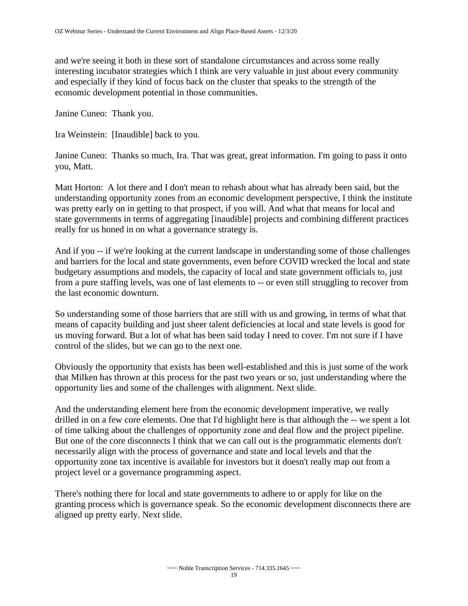and we're seeing it both in these sort of standalone circumstances and across some really interesting incubator strategies which I think are very valuable in just about every community and especially if they kind of focus back on the cluster that speaks to the strength of the economic development potential in those communities.

Janine Cuneo: Thank you.

Ira Weinstein: [Inaudible] back to you.

Janine Cuneo: Thanks so much, Ira. That was great, great information. I'm going to pass it onto you, Matt.

Matt Horton: A lot there and I don't mean to rehash about what has already been said, but the understanding opportunity zones from an economic development perspective, I think the institute was pretty early on in getting to that prospect, if you will. And what that means for local and state governments in terms of aggregating [inaudible] projects and combining different practices really for us honed in on what a governance strategy is.

And if you -- if we're looking at the current landscape in understanding some of those challenges and barriers for the local and state governments, even before COVID wrecked the local and state budgetary assumptions and models, the capacity of local and state government officials to, just from a pure staffing levels, was one of last elements to -- or even still struggling to recover from the last economic downturn.

So understanding some of those barriers that are still with us and growing, in terms of what that means of capacity building and just sheer talent deficiencies at local and state levels is good for us moving forward. But a lot of what has been said today I need to cover. I'm not sure if I have control of the slides, but we can go to the next one.

Obviously the opportunity that exists has been well-established and this is just some of the work that Milken has thrown at this process for the past two years or so, just understanding where the opportunity lies and some of the challenges with alignment. Next slide.

And the understanding element here from the economic development imperative, we really drilled in on a few core elements. One that I'd highlight here is that although the -- we spent a lot of time talking about the challenges of opportunity zone and deal flow and the project pipeline. But one of the core disconnects I think that we can call out is the programmatic elements don't necessarily align with the process of governance and state and local levels and that the opportunity zone tax incentive is available for investors but it doesn't really map out from a project level or a governance programming aspect.

There's nothing there for local and state governments to adhere to or apply for like on the granting process which is governance speak. So the economic development disconnects there are aligned up pretty early. Next slide.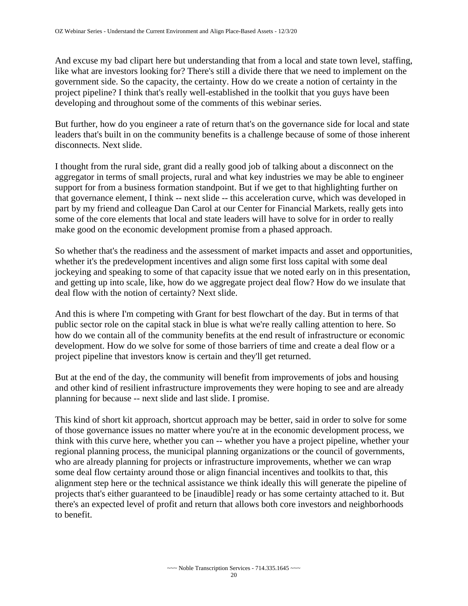And excuse my bad clipart here but understanding that from a local and state town level, staffing, like what are investors looking for? There's still a divide there that we need to implement on the government side. So the capacity, the certainty. How do we create a notion of certainty in the project pipeline? I think that's really well-established in the toolkit that you guys have been developing and throughout some of the comments of this webinar series.

But further, how do you engineer a rate of return that's on the governance side for local and state leaders that's built in on the community benefits is a challenge because of some of those inherent disconnects. Next slide.

I thought from the rural side, grant did a really good job of talking about a disconnect on the aggregator in terms of small projects, rural and what key industries we may be able to engineer support for from a business formation standpoint. But if we get to that highlighting further on that governance element, I think -- next slide -- this acceleration curve, which was developed in part by my friend and colleague Dan Carol at our Center for Financial Markets, really gets into some of the core elements that local and state leaders will have to solve for in order to really make good on the economic development promise from a phased approach.

So whether that's the readiness and the assessment of market impacts and asset and opportunities, whether it's the predevelopment incentives and align some first loss capital with some deal jockeying and speaking to some of that capacity issue that we noted early on in this presentation, and getting up into scale, like, how do we aggregate project deal flow? How do we insulate that deal flow with the notion of certainty? Next slide.

And this is where I'm competing with Grant for best flowchart of the day. But in terms of that public sector role on the capital stack in blue is what we're really calling attention to here. So how do we contain all of the community benefits at the end result of infrastructure or economic development. How do we solve for some of those barriers of time and create a deal flow or a project pipeline that investors know is certain and they'll get returned.

But at the end of the day, the community will benefit from improvements of jobs and housing and other kind of resilient infrastructure improvements they were hoping to see and are already planning for because -- next slide and last slide. I promise.

This kind of short kit approach, shortcut approach may be better, said in order to solve for some of those governance issues no matter where you're at in the economic development process, we think with this curve here, whether you can -- whether you have a project pipeline, whether your regional planning process, the municipal planning organizations or the council of governments, who are already planning for projects or infrastructure improvements, whether we can wrap some deal flow certainty around those or align financial incentives and toolkits to that, this alignment step here or the technical assistance we think ideally this will generate the pipeline of projects that's either guaranteed to be [inaudible] ready or has some certainty attached to it. But there's an expected level of profit and return that allows both core investors and neighborhoods to benefit.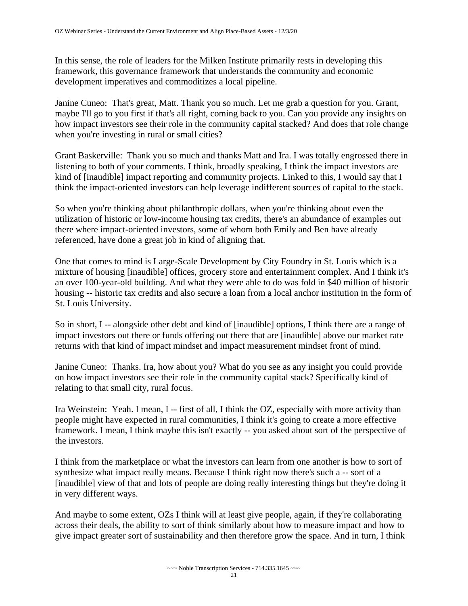In this sense, the role of leaders for the Milken Institute primarily rests in developing this framework, this governance framework that understands the community and economic development imperatives and commoditizes a local pipeline.

Janine Cuneo: That's great, Matt. Thank you so much. Let me grab a question for you. Grant, maybe I'll go to you first if that's all right, coming back to you. Can you provide any insights on how impact investors see their role in the community capital stacked? And does that role change when you're investing in rural or small cities?

Grant Baskerville: Thank you so much and thanks Matt and Ira. I was totally engrossed there in listening to both of your comments. I think, broadly speaking, I think the impact investors are kind of [inaudible] impact reporting and community projects. Linked to this, I would say that I think the impact-oriented investors can help leverage indifferent sources of capital to the stack.

So when you're thinking about philanthropic dollars, when you're thinking about even the utilization of historic or low-income housing tax credits, there's an abundance of examples out there where impact-oriented investors, some of whom both Emily and Ben have already referenced, have done a great job in kind of aligning that.

One that comes to mind is Large-Scale Development by City Foundry in St. Louis which is a mixture of housing [inaudible] offices, grocery store and entertainment complex. And I think it's an over 100-year-old building. And what they were able to do was fold in \$40 million of historic housing -- historic tax credits and also secure a loan from a local anchor institution in the form of St. Louis University.

So in short, I -- alongside other debt and kind of [inaudible] options, I think there are a range of impact investors out there or funds offering out there that are [inaudible] above our market rate returns with that kind of impact mindset and impact measurement mindset front of mind.

Janine Cuneo: Thanks. Ira, how about you? What do you see as any insight you could provide on how impact investors see their role in the community capital stack? Specifically kind of relating to that small city, rural focus.

Ira Weinstein: Yeah. I mean, I -- first of all, I think the OZ, especially with more activity than people might have expected in rural communities, I think it's going to create a more effective framework. I mean, I think maybe this isn't exactly -- you asked about sort of the perspective of the investors.

I think from the marketplace or what the investors can learn from one another is how to sort of synthesize what impact really means. Because I think right now there's such a -- sort of a [inaudible] view of that and lots of people are doing really interesting things but they're doing it in very different ways.

And maybe to some extent, OZs I think will at least give people, again, if they're collaborating across their deals, the ability to sort of think similarly about how to measure impact and how to give impact greater sort of sustainability and then therefore grow the space. And in turn, I think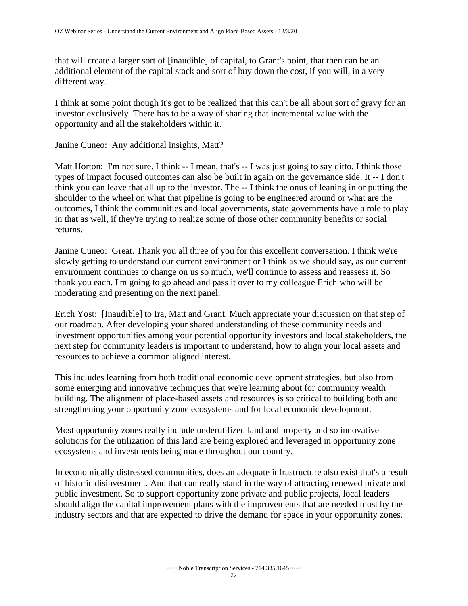that will create a larger sort of [inaudible] of capital, to Grant's point, that then can be an additional element of the capital stack and sort of buy down the cost, if you will, in a very different way.

I think at some point though it's got to be realized that this can't be all about sort of gravy for an investor exclusively. There has to be a way of sharing that incremental value with the opportunity and all the stakeholders within it.

Janine Cuneo: Any additional insights, Matt?

Matt Horton: I'm not sure. I think -- I mean, that's -- I was just going to say ditto. I think those types of impact focused outcomes can also be built in again on the governance side. It -- I don't think you can leave that all up to the investor. The -- I think the onus of leaning in or putting the shoulder to the wheel on what that pipeline is going to be engineered around or what are the outcomes, I think the communities and local governments, state governments have a role to play in that as well, if they're trying to realize some of those other community benefits or social returns.

Janine Cuneo: Great. Thank you all three of you for this excellent conversation. I think we're slowly getting to understand our current environment or I think as we should say, as our current environment continues to change on us so much, we'll continue to assess and reassess it. So thank you each. I'm going to go ahead and pass it over to my colleague Erich who will be moderating and presenting on the next panel.

Erich Yost: [Inaudible] to Ira, Matt and Grant. Much appreciate your discussion on that step of our roadmap. After developing your shared understanding of these community needs and investment opportunities among your potential opportunity investors and local stakeholders, the next step for community leaders is important to understand, how to align your local assets and resources to achieve a common aligned interest.

This includes learning from both traditional economic development strategies, but also from some emerging and innovative techniques that we're learning about for community wealth building. The alignment of place-based assets and resources is so critical to building both and strengthening your opportunity zone ecosystems and for local economic development.

Most opportunity zones really include underutilized land and property and so innovative solutions for the utilization of this land are being explored and leveraged in opportunity zone ecosystems and investments being made throughout our country.

In economically distressed communities, does an adequate infrastructure also exist that's a result of historic disinvestment. And that can really stand in the way of attracting renewed private and public investment. So to support opportunity zone private and public projects, local leaders should align the capital improvement plans with the improvements that are needed most by the industry sectors and that are expected to drive the demand for space in your opportunity zones.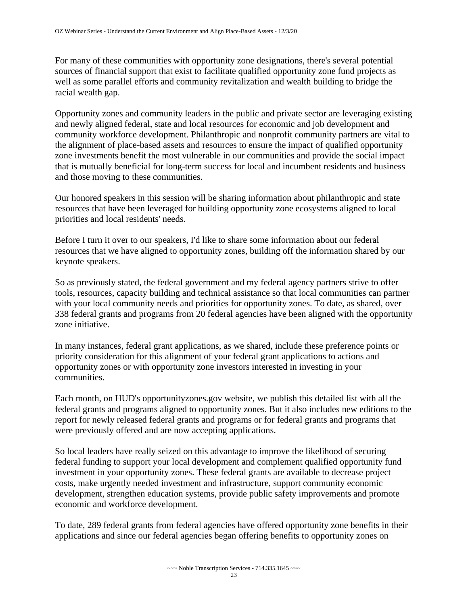For many of these communities with opportunity zone designations, there's several potential sources of financial support that exist to facilitate qualified opportunity zone fund projects as well as some parallel efforts and community revitalization and wealth building to bridge the racial wealth gap.

Opportunity zones and community leaders in the public and private sector are leveraging existing and newly aligned federal, state and local resources for economic and job development and community workforce development. Philanthropic and nonprofit community partners are vital to the alignment of place-based assets and resources to ensure the impact of qualified opportunity zone investments benefit the most vulnerable in our communities and provide the social impact that is mutually beneficial for long-term success for local and incumbent residents and business and those moving to these communities.

Our honored speakers in this session will be sharing information about philanthropic and state resources that have been leveraged for building opportunity zone ecosystems aligned to local priorities and local residents' needs.

Before I turn it over to our speakers, I'd like to share some information about our federal resources that we have aligned to opportunity zones, building off the information shared by our keynote speakers.

So as previously stated, the federal government and my federal agency partners strive to offer tools, resources, capacity building and technical assistance so that local communities can partner with your local community needs and priorities for opportunity zones. To date, as shared, over 338 federal grants and programs from 20 federal agencies have been aligned with the opportunity zone initiative.

In many instances, federal grant applications, as we shared, include these preference points or priority consideration for this alignment of your federal grant applications to actions and opportunity zones or with opportunity zone investors interested in investing in your communities.

Each month, on HUD's opportunityzones.gov website, we publish this detailed list with all the federal grants and programs aligned to opportunity zones. But it also includes new editions to the report for newly released federal grants and programs or for federal grants and programs that were previously offered and are now accepting applications.

So local leaders have really seized on this advantage to improve the likelihood of securing federal funding to support your local development and complement qualified opportunity fund investment in your opportunity zones. These federal grants are available to decrease project costs, make urgently needed investment and infrastructure, support community economic development, strengthen education systems, provide public safety improvements and promote economic and workforce development.

To date, 289 federal grants from federal agencies have offered opportunity zone benefits in their applications and since our federal agencies began offering benefits to opportunity zones on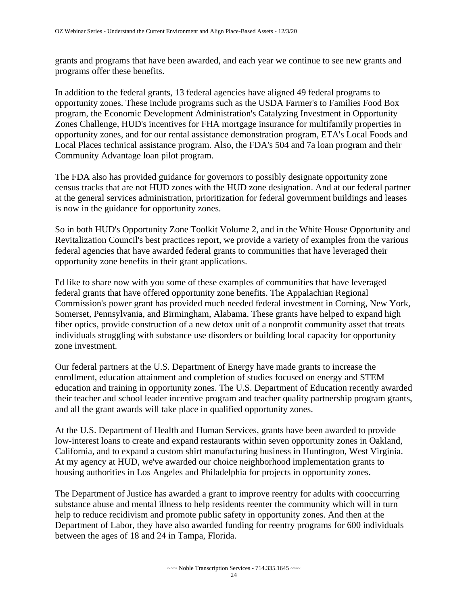grants and programs that have been awarded, and each year we continue to see new grants and programs offer these benefits.

In addition to the federal grants, 13 federal agencies have aligned 49 federal programs to opportunity zones. These include programs such as the USDA Farmer's to Families Food Box program, the Economic Development Administration's Catalyzing Investment in Opportunity Zones Challenge, HUD's incentives for FHA mortgage insurance for multifamily properties in opportunity zones, and for our rental assistance demonstration program, ETA's Local Foods and Local Places technical assistance program. Also, the FDA's 504 and 7a loan program and their Community Advantage loan pilot program.

The FDA also has provided guidance for governors to possibly designate opportunity zone census tracks that are not HUD zones with the HUD zone designation. And at our federal partner at the general services administration, prioritization for federal government buildings and leases is now in the guidance for opportunity zones.

So in both HUD's Opportunity Zone Toolkit Volume 2, and in the White House Opportunity and Revitalization Council's best practices report, we provide a variety of examples from the various federal agencies that have awarded federal grants to communities that have leveraged their opportunity zone benefits in their grant applications.

I'd like to share now with you some of these examples of communities that have leveraged federal grants that have offered opportunity zone benefits. The Appalachian Regional Commission's power grant has provided much needed federal investment in Corning, New York, Somerset, Pennsylvania, and Birmingham, Alabama. These grants have helped to expand high fiber optics, provide construction of a new detox unit of a nonprofit community asset that treats individuals struggling with substance use disorders or building local capacity for opportunity zone investment.

Our federal partners at the U.S. Department of Energy have made grants to increase the enrollment, education attainment and completion of studies focused on energy and STEM education and training in opportunity zones. The U.S. Department of Education recently awarded their teacher and school leader incentive program and teacher quality partnership program grants, and all the grant awards will take place in qualified opportunity zones.

At the U.S. Department of Health and Human Services, grants have been awarded to provide low-interest loans to create and expand restaurants within seven opportunity zones in Oakland, California, and to expand a custom shirt manufacturing business in Huntington, West Virginia. At my agency at HUD, we've awarded our choice neighborhood implementation grants to housing authorities in Los Angeles and Philadelphia for projects in opportunity zones.

The Department of Justice has awarded a grant to improve reentry for adults with cooccurring substance abuse and mental illness to help residents reenter the community which will in turn help to reduce recidivism and promote public safety in opportunity zones. And then at the Department of Labor, they have also awarded funding for reentry programs for 600 individuals between the ages of 18 and 24 in Tampa, Florida.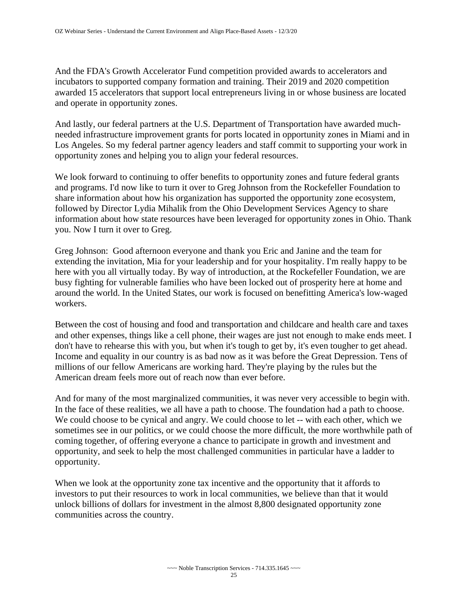And the FDA's Growth Accelerator Fund competition provided awards to accelerators and incubators to supported company formation and training. Their 2019 and 2020 competition awarded 15 accelerators that support local entrepreneurs living in or whose business are located and operate in opportunity zones.

And lastly, our federal partners at the U.S. Department of Transportation have awarded muchneeded infrastructure improvement grants for ports located in opportunity zones in Miami and in Los Angeles. So my federal partner agency leaders and staff commit to supporting your work in opportunity zones and helping you to align your federal resources.

We look forward to continuing to offer benefits to opportunity zones and future federal grants and programs. I'd now like to turn it over to Greg Johnson from the Rockefeller Foundation to share information about how his organization has supported the opportunity zone ecosystem, followed by Director Lydia Mihalik from the Ohio Development Services Agency to share information about how state resources have been leveraged for opportunity zones in Ohio. Thank you. Now I turn it over to Greg.

Greg Johnson: Good afternoon everyone and thank you Eric and Janine and the team for extending the invitation, Mia for your leadership and for your hospitality. I'm really happy to be here with you all virtually today. By way of introduction, at the Rockefeller Foundation, we are busy fighting for vulnerable families who have been locked out of prosperity here at home and around the world. In the United States, our work is focused on benefitting America's low-waged workers.

Between the cost of housing and food and transportation and childcare and health care and taxes and other expenses, things like a cell phone, their wages are just not enough to make ends meet. I don't have to rehearse this with you, but when it's tough to get by, it's even tougher to get ahead. Income and equality in our country is as bad now as it was before the Great Depression. Tens of millions of our fellow Americans are working hard. They're playing by the rules but the American dream feels more out of reach now than ever before.

And for many of the most marginalized communities, it was never very accessible to begin with. In the face of these realities, we all have a path to choose. The foundation had a path to choose. We could choose to be cynical and angry. We could choose to let -- with each other, which we sometimes see in our politics, or we could choose the more difficult, the more worthwhile path of coming together, of offering everyone a chance to participate in growth and investment and opportunity, and seek to help the most challenged communities in particular have a ladder to opportunity.

When we look at the opportunity zone tax incentive and the opportunity that it affords to investors to put their resources to work in local communities, we believe than that it would unlock billions of dollars for investment in the almost 8,800 designated opportunity zone communities across the country.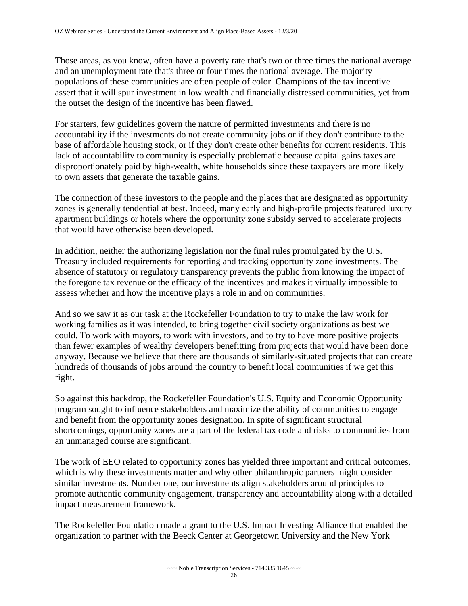Those areas, as you know, often have a poverty rate that's two or three times the national average and an unemployment rate that's three or four times the national average. The majority populations of these communities are often people of color. Champions of the tax incentive assert that it will spur investment in low wealth and financially distressed communities, yet from the outset the design of the incentive has been flawed.

For starters, few guidelines govern the nature of permitted investments and there is no accountability if the investments do not create community jobs or if they don't contribute to the base of affordable housing stock, or if they don't create other benefits for current residents. This lack of accountability to community is especially problematic because capital gains taxes are disproportionately paid by high-wealth, white households since these taxpayers are more likely to own assets that generate the taxable gains.

The connection of these investors to the people and the places that are designated as opportunity zones is generally tendential at best. Indeed, many early and high-profile projects featured luxury apartment buildings or hotels where the opportunity zone subsidy served to accelerate projects that would have otherwise been developed.

In addition, neither the authorizing legislation nor the final rules promulgated by the U.S. Treasury included requirements for reporting and tracking opportunity zone investments. The absence of statutory or regulatory transparency prevents the public from knowing the impact of the foregone tax revenue or the efficacy of the incentives and makes it virtually impossible to assess whether and how the incentive plays a role in and on communities.

And so we saw it as our task at the Rockefeller Foundation to try to make the law work for working families as it was intended, to bring together civil society organizations as best we could. To work with mayors, to work with investors, and to try to have more positive projects than fewer examples of wealthy developers benefitting from projects that would have been done anyway. Because we believe that there are thousands of similarly-situated projects that can create hundreds of thousands of jobs around the country to benefit local communities if we get this right.

So against this backdrop, the Rockefeller Foundation's U.S. Equity and Economic Opportunity program sought to influence stakeholders and maximize the ability of communities to engage and benefit from the opportunity zones designation. In spite of significant structural shortcomings, opportunity zones are a part of the federal tax code and risks to communities from an unmanaged course are significant.

The work of EEO related to opportunity zones has yielded three important and critical outcomes, which is why these investments matter and why other philanthropic partners might consider similar investments. Number one, our investments align stakeholders around principles to promote authentic community engagement, transparency and accountability along with a detailed impact measurement framework.

The Rockefeller Foundation made a grant to the U.S. Impact Investing Alliance that enabled the organization to partner with the Beeck Center at Georgetown University and the New York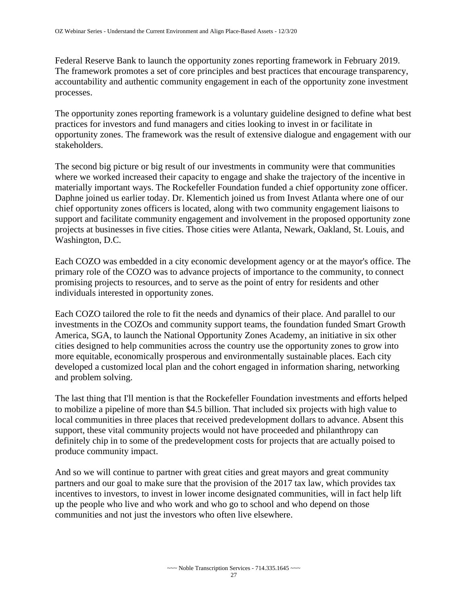Federal Reserve Bank to launch the opportunity zones reporting framework in February 2019. The framework promotes a set of core principles and best practices that encourage transparency, accountability and authentic community engagement in each of the opportunity zone investment processes.

The opportunity zones reporting framework is a voluntary guideline designed to define what best practices for investors and fund managers and cities looking to invest in or facilitate in opportunity zones. The framework was the result of extensive dialogue and engagement with our stakeholders.

The second big picture or big result of our investments in community were that communities where we worked increased their capacity to engage and shake the trajectory of the incentive in materially important ways. The Rockefeller Foundation funded a chief opportunity zone officer. Daphne joined us earlier today. Dr. Klementich joined us from Invest Atlanta where one of our chief opportunity zones officers is located, along with two community engagement liaisons to support and facilitate community engagement and involvement in the proposed opportunity zone projects at businesses in five cities. Those cities were Atlanta, Newark, Oakland, St. Louis, and Washington, D.C.

Each COZO was embedded in a city economic development agency or at the mayor's office. The primary role of the COZO was to advance projects of importance to the community, to connect promising projects to resources, and to serve as the point of entry for residents and other individuals interested in opportunity zones.

Each COZO tailored the role to fit the needs and dynamics of their place. And parallel to our investments in the COZOs and community support teams, the foundation funded Smart Growth America, SGA, to launch the National Opportunity Zones Academy, an initiative in six other cities designed to help communities across the country use the opportunity zones to grow into more equitable, economically prosperous and environmentally sustainable places. Each city developed a customized local plan and the cohort engaged in information sharing, networking and problem solving.

The last thing that I'll mention is that the Rockefeller Foundation investments and efforts helped to mobilize a pipeline of more than \$4.5 billion. That included six projects with high value to local communities in three places that received predevelopment dollars to advance. Absent this support, these vital community projects would not have proceeded and philanthropy can definitely chip in to some of the predevelopment costs for projects that are actually poised to produce community impact.

And so we will continue to partner with great cities and great mayors and great community partners and our goal to make sure that the provision of the 2017 tax law, which provides tax incentives to investors, to invest in lower income designated communities, will in fact help lift up the people who live and who work and who go to school and who depend on those communities and not just the investors who often live elsewhere.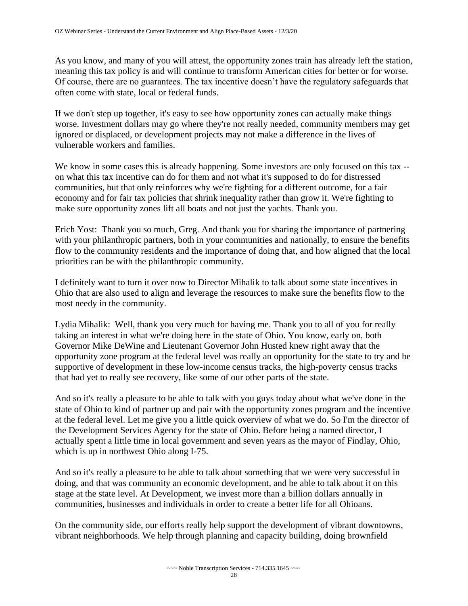As you know, and many of you will attest, the opportunity zones train has already left the station, meaning this tax policy is and will continue to transform American cities for better or for worse. Of course, there are no guarantees. The tax incentive doesn't have the regulatory safeguards that often come with state, local or federal funds.

If we don't step up together, it's easy to see how opportunity zones can actually make things worse. Investment dollars may go where they're not really needed, community members may get ignored or displaced, or development projects may not make a difference in the lives of vulnerable workers and families.

We know in some cases this is already happening. Some investors are only focused on this tax - on what this tax incentive can do for them and not what it's supposed to do for distressed communities, but that only reinforces why we're fighting for a different outcome, for a fair economy and for fair tax policies that shrink inequality rather than grow it. We're fighting to make sure opportunity zones lift all boats and not just the yachts. Thank you.

Erich Yost: Thank you so much, Greg. And thank you for sharing the importance of partnering with your philanthropic partners, both in your communities and nationally, to ensure the benefits flow to the community residents and the importance of doing that, and how aligned that the local priorities can be with the philanthropic community.

I definitely want to turn it over now to Director Mihalik to talk about some state incentives in Ohio that are also used to align and leverage the resources to make sure the benefits flow to the most needy in the community.

Lydia Mihalik: Well, thank you very much for having me. Thank you to all of you for really taking an interest in what we're doing here in the state of Ohio. You know, early on, both Governor Mike DeWine and Lieutenant Governor John Husted knew right away that the opportunity zone program at the federal level was really an opportunity for the state to try and be supportive of development in these low-income census tracks, the high-poverty census tracks that had yet to really see recovery, like some of our other parts of the state.

And so it's really a pleasure to be able to talk with you guys today about what we've done in the state of Ohio to kind of partner up and pair with the opportunity zones program and the incentive at the federal level. Let me give you a little quick overview of what we do. So I'm the director of the Development Services Agency for the state of Ohio. Before being a named director, I actually spent a little time in local government and seven years as the mayor of Findlay, Ohio, which is up in northwest Ohio along I-75.

And so it's really a pleasure to be able to talk about something that we were very successful in doing, and that was community an economic development, and be able to talk about it on this stage at the state level. At Development, we invest more than a billion dollars annually in communities, businesses and individuals in order to create a better life for all Ohioans.

On the community side, our efforts really help support the development of vibrant downtowns, vibrant neighborhoods. We help through planning and capacity building, doing brownfield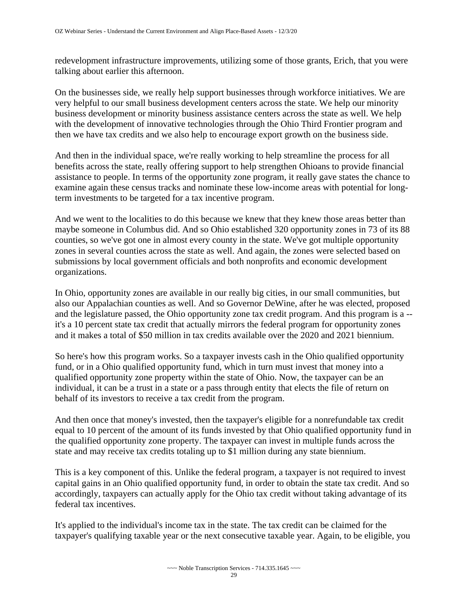redevelopment infrastructure improvements, utilizing some of those grants, Erich, that you were talking about earlier this afternoon.

On the businesses side, we really help support businesses through workforce initiatives. We are very helpful to our small business development centers across the state. We help our minority business development or minority business assistance centers across the state as well. We help with the development of innovative technologies through the Ohio Third Frontier program and then we have tax credits and we also help to encourage export growth on the business side.

And then in the individual space, we're really working to help streamline the process for all benefits across the state, really offering support to help strengthen Ohioans to provide financial assistance to people. In terms of the opportunity zone program, it really gave states the chance to examine again these census tracks and nominate these low-income areas with potential for longterm investments to be targeted for a tax incentive program.

And we went to the localities to do this because we knew that they knew those areas better than maybe someone in Columbus did. And so Ohio established 320 opportunity zones in 73 of its 88 counties, so we've got one in almost every county in the state. We've got multiple opportunity zones in several counties across the state as well. And again, the zones were selected based on submissions by local government officials and both nonprofits and economic development organizations.

In Ohio, opportunity zones are available in our really big cities, in our small communities, but also our Appalachian counties as well. And so Governor DeWine, after he was elected, proposed and the legislature passed, the Ohio opportunity zone tax credit program. And this program is a - it's a 10 percent state tax credit that actually mirrors the federal program for opportunity zones and it makes a total of \$50 million in tax credits available over the 2020 and 2021 biennium.

So here's how this program works. So a taxpayer invests cash in the Ohio qualified opportunity fund, or in a Ohio qualified opportunity fund, which in turn must invest that money into a qualified opportunity zone property within the state of Ohio. Now, the taxpayer can be an individual, it can be a trust in a state or a pass through entity that elects the file of return on behalf of its investors to receive a tax credit from the program.

And then once that money's invested, then the taxpayer's eligible for a nonrefundable tax credit equal to 10 percent of the amount of its funds invested by that Ohio qualified opportunity fund in the qualified opportunity zone property. The taxpayer can invest in multiple funds across the state and may receive tax credits totaling up to \$1 million during any state biennium.

This is a key component of this. Unlike the federal program, a taxpayer is not required to invest capital gains in an Ohio qualified opportunity fund, in order to obtain the state tax credit. And so accordingly, taxpayers can actually apply for the Ohio tax credit without taking advantage of its federal tax incentives.

It's applied to the individual's income tax in the state. The tax credit can be claimed for the taxpayer's qualifying taxable year or the next consecutive taxable year. Again, to be eligible, you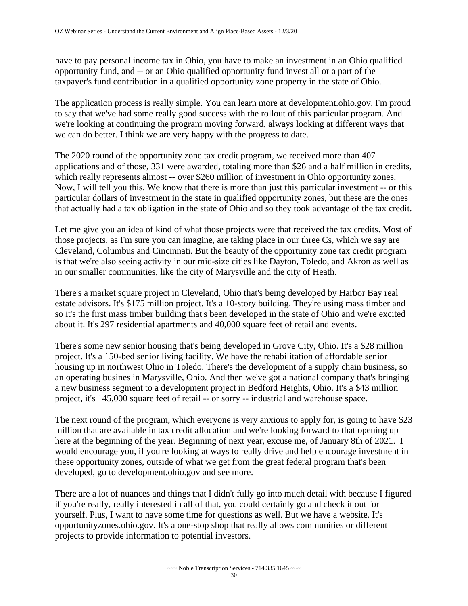have to pay personal income tax in Ohio, you have to make an investment in an Ohio qualified opportunity fund, and -- or an Ohio qualified opportunity fund invest all or a part of the taxpayer's fund contribution in a qualified opportunity zone property in the state of Ohio.

The application process is really simple. You can learn more at development.ohio.gov. I'm proud to say that we've had some really good success with the rollout of this particular program. And we're looking at continuing the program moving forward, always looking at different ways that we can do better. I think we are very happy with the progress to date.

The 2020 round of the opportunity zone tax credit program, we received more than 407 applications and of those, 331 were awarded, totaling more than \$26 and a half million in credits, which really represents almost -- over \$260 million of investment in Ohio opportunity zones. Now, I will tell you this. We know that there is more than just this particular investment -- or this particular dollars of investment in the state in qualified opportunity zones, but these are the ones that actually had a tax obligation in the state of Ohio and so they took advantage of the tax credit.

Let me give you an idea of kind of what those projects were that received the tax credits. Most of those projects, as I'm sure you can imagine, are taking place in our three Cs, which we say are Cleveland, Columbus and Cincinnati. But the beauty of the opportunity zone tax credit program is that we're also seeing activity in our mid-size cities like Dayton, Toledo, and Akron as well as in our smaller communities, like the city of Marysville and the city of Heath.

There's a market square project in Cleveland, Ohio that's being developed by Harbor Bay real estate advisors. It's \$175 million project. It's a 10-story building. They're using mass timber and so it's the first mass timber building that's been developed in the state of Ohio and we're excited about it. It's 297 residential apartments and 40,000 square feet of retail and events.

There's some new senior housing that's being developed in Grove City, Ohio. It's a \$28 million project. It's a 150-bed senior living facility. We have the rehabilitation of affordable senior housing up in northwest Ohio in Toledo. There's the development of a supply chain business, so an operating busines in Marysville, Ohio. And then we've got a national company that's bringing a new business segment to a development project in Bedford Heights, Ohio. It's a \$43 million project, it's 145,000 square feet of retail -- or sorry -- industrial and warehouse space.

The next round of the program, which everyone is very anxious to apply for, is going to have \$23 million that are available in tax credit allocation and we're looking forward to that opening up here at the beginning of the year. Beginning of next year, excuse me, of January 8th of 2021. I would encourage you, if you're looking at ways to really drive and help encourage investment in these opportunity zones, outside of what we get from the great federal program that's been developed, go to development.ohio.gov and see more.

There are a lot of nuances and things that I didn't fully go into much detail with because I figured if you're really, really interested in all of that, you could certainly go and check it out for yourself. Plus, I want to have some time for questions as well. But we have a website. It's opportunityzones.ohio.gov. It's a one-stop shop that really allows communities or different projects to provide information to potential investors.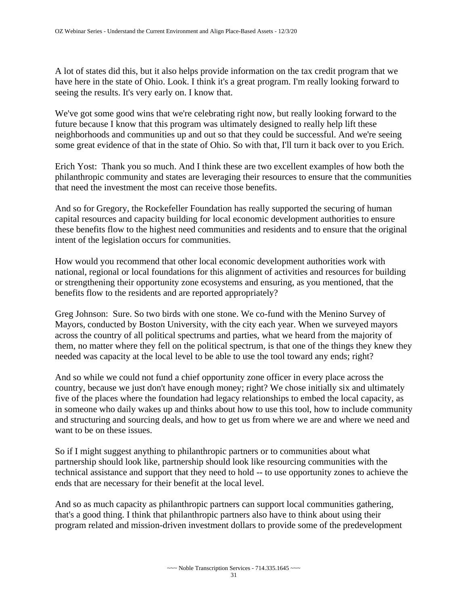A lot of states did this, but it also helps provide information on the tax credit program that we have here in the state of Ohio. Look. I think it's a great program. I'm really looking forward to seeing the results. It's very early on. I know that.

We've got some good wins that we're celebrating right now, but really looking forward to the future because I know that this program was ultimately designed to really help lift these neighborhoods and communities up and out so that they could be successful. And we're seeing some great evidence of that in the state of Ohio. So with that, I'll turn it back over to you Erich.

Erich Yost: Thank you so much. And I think these are two excellent examples of how both the philanthropic community and states are leveraging their resources to ensure that the communities that need the investment the most can receive those benefits.

And so for Gregory, the Rockefeller Foundation has really supported the securing of human capital resources and capacity building for local economic development authorities to ensure these benefits flow to the highest need communities and residents and to ensure that the original intent of the legislation occurs for communities.

How would you recommend that other local economic development authorities work with national, regional or local foundations for this alignment of activities and resources for building or strengthening their opportunity zone ecosystems and ensuring, as you mentioned, that the benefits flow to the residents and are reported appropriately?

Greg Johnson: Sure. So two birds with one stone. We co-fund with the Menino Survey of Mayors, conducted by Boston University, with the city each year. When we surveyed mayors across the country of all political spectrums and parties, what we heard from the majority of them, no matter where they fell on the political spectrum, is that one of the things they knew they needed was capacity at the local level to be able to use the tool toward any ends; right?

And so while we could not fund a chief opportunity zone officer in every place across the country, because we just don't have enough money; right? We chose initially six and ultimately five of the places where the foundation had legacy relationships to embed the local capacity, as in someone who daily wakes up and thinks about how to use this tool, how to include community and structuring and sourcing deals, and how to get us from where we are and where we need and want to be on these issues.

So if I might suggest anything to philanthropic partners or to communities about what partnership should look like, partnership should look like resourcing communities with the technical assistance and support that they need to hold -- to use opportunity zones to achieve the ends that are necessary for their benefit at the local level.

And so as much capacity as philanthropic partners can support local communities gathering, that's a good thing. I think that philanthropic partners also have to think about using their program related and mission-driven investment dollars to provide some of the predevelopment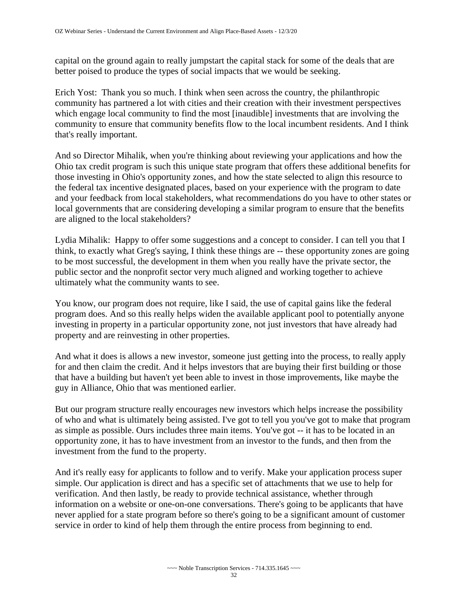capital on the ground again to really jumpstart the capital stack for some of the deals that are better poised to produce the types of social impacts that we would be seeking.

Erich Yost: Thank you so much. I think when seen across the country, the philanthropic community has partnered a lot with cities and their creation with their investment perspectives which engage local community to find the most [inaudible] investments that are involving the community to ensure that community benefits flow to the local incumbent residents. And I think that's really important.

And so Director Mihalik, when you're thinking about reviewing your applications and how the Ohio tax credit program is such this unique state program that offers these additional benefits for those investing in Ohio's opportunity zones, and how the state selected to align this resource to the federal tax incentive designated places, based on your experience with the program to date and your feedback from local stakeholders, what recommendations do you have to other states or local governments that are considering developing a similar program to ensure that the benefits are aligned to the local stakeholders?

Lydia Mihalik: Happy to offer some suggestions and a concept to consider. I can tell you that I think, to exactly what Greg's saying, I think these things are -- these opportunity zones are going to be most successful, the development in them when you really have the private sector, the public sector and the nonprofit sector very much aligned and working together to achieve ultimately what the community wants to see.

You know, our program does not require, like I said, the use of capital gains like the federal program does. And so this really helps widen the available applicant pool to potentially anyone investing in property in a particular opportunity zone, not just investors that have already had property and are reinvesting in other properties.

And what it does is allows a new investor, someone just getting into the process, to really apply for and then claim the credit. And it helps investors that are buying their first building or those that have a building but haven't yet been able to invest in those improvements, like maybe the guy in Alliance, Ohio that was mentioned earlier.

But our program structure really encourages new investors which helps increase the possibility of who and what is ultimately being assisted. I've got to tell you you've got to make that program as simple as possible. Ours includes three main items. You've got -- it has to be located in an opportunity zone, it has to have investment from an investor to the funds, and then from the investment from the fund to the property.

And it's really easy for applicants to follow and to verify. Make your application process super simple. Our application is direct and has a specific set of attachments that we use to help for verification. And then lastly, be ready to provide technical assistance, whether through information on a website or one-on-one conversations. There's going to be applicants that have never applied for a state program before so there's going to be a significant amount of customer service in order to kind of help them through the entire process from beginning to end.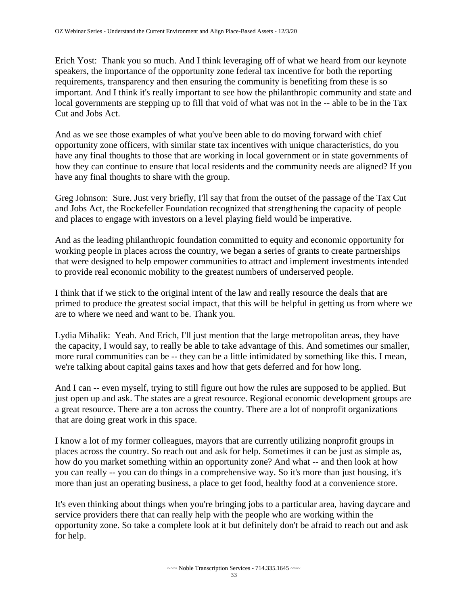Erich Yost: Thank you so much. And I think leveraging off of what we heard from our keynote speakers, the importance of the opportunity zone federal tax incentive for both the reporting requirements, transparency and then ensuring the community is benefiting from these is so important. And I think it's really important to see how the philanthropic community and state and local governments are stepping up to fill that void of what was not in the -- able to be in the Tax Cut and Jobs Act.

And as we see those examples of what you've been able to do moving forward with chief opportunity zone officers, with similar state tax incentives with unique characteristics, do you have any final thoughts to those that are working in local government or in state governments of how they can continue to ensure that local residents and the community needs are aligned? If you have any final thoughts to share with the group.

Greg Johnson: Sure. Just very briefly, I'll say that from the outset of the passage of the Tax Cut and Jobs Act, the Rockefeller Foundation recognized that strengthening the capacity of people and places to engage with investors on a level playing field would be imperative.

And as the leading philanthropic foundation committed to equity and economic opportunity for working people in places across the country, we began a series of grants to create partnerships that were designed to help empower communities to attract and implement investments intended to provide real economic mobility to the greatest numbers of underserved people.

I think that if we stick to the original intent of the law and really resource the deals that are primed to produce the greatest social impact, that this will be helpful in getting us from where we are to where we need and want to be. Thank you.

Lydia Mihalik: Yeah. And Erich, I'll just mention that the large metropolitan areas, they have the capacity, I would say, to really be able to take advantage of this. And sometimes our smaller, more rural communities can be -- they can be a little intimidated by something like this. I mean, we're talking about capital gains taxes and how that gets deferred and for how long.

And I can -- even myself, trying to still figure out how the rules are supposed to be applied. But just open up and ask. The states are a great resource. Regional economic development groups are a great resource. There are a ton across the country. There are a lot of nonprofit organizations that are doing great work in this space.

I know a lot of my former colleagues, mayors that are currently utilizing nonprofit groups in places across the country. So reach out and ask for help. Sometimes it can be just as simple as, how do you market something within an opportunity zone? And what -- and then look at how you can really -- you can do things in a comprehensive way. So it's more than just housing, it's more than just an operating business, a place to get food, healthy food at a convenience store.

It's even thinking about things when you're bringing jobs to a particular area, having daycare and service providers there that can really help with the people who are working within the opportunity zone. So take a complete look at it but definitely don't be afraid to reach out and ask for help.